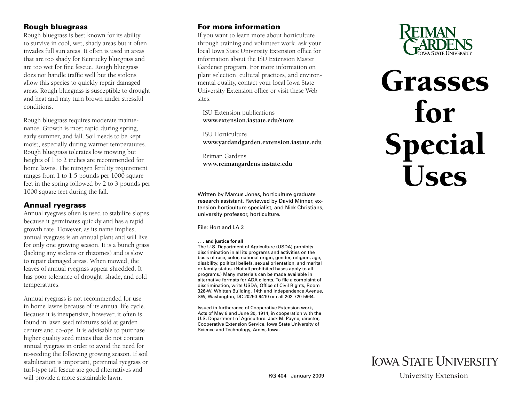### **Rough bluegrass**

Rough bluegrass is best known for its ability to survive in cool, wet, shady areas but it often invades full sun areas. It often is used in areas that are too shady for Kentucky bluegrass and are too wet for fine fescue. Rough bluegrass does not handle traffic well but the stolons allow this species to quickly repair damaged areas. Rough bluegrass is susceptible to drought and heat and may turn brown under stressful conditions.

Rough bluegrass requires moderate maintenance. Growth is most rapid during spring, early summer, and fall. Soil needs to be kept moist, especially during warmer temperatures. Rough bluegrass tolerates low mowing but heights of 1 to 2 inches are recommended for home lawns. The nitrogen fertility requirement ranges from 1 to 1.5 pounds per 1000 square feet in the spring followed by 2 to 3 pounds per 1000 square feet during the fall.

### **Annual ryegrass**

Annual ryegrass often is used to stabilize slopes because it germinates quickly and has a rapid growth rate. However, as its name implies, annual ryegrass is an annual plant and will live for only one growing season. It is a bunch grass (lacking any stolons or rhizomes) and is slow to repair damaged areas. When mowed, the leaves of annual ryegrass appear shredded. It has poor tolerance of drought, shade, and cold temperatures.

Annual ryegrass is not recommended for use in home lawns because of its annual life cycle. Because it is inexpensive, however, it often is found in lawn seed mixtures sold at garden centers and co-ops. It is advisable to purchase higher quality seed mixes that do not contain annual ryegrass in order to avoid the need for re-seeding the following growing season. If soil stabilization is important, perennial ryegrass or turf-type tall fescue are good alternatives and will provide a more sustainable lawn.

### **For more information**

If you want to learn more about horticulture through training and volunteer work, ask your local Iowa State University Extension office for information about the ISU Extension Master Gardener program. For more information on plant selection, cultural practices, and environmental quality, contact your local Iowa State University Extension office or visit these Web sites:

 [ISU Extension publications](http://www.extension.iastate.edu/store)  **www.extension.iastate.edu/store** 

 ISU Horticulture  **www.yar[dandgarden.extension.iastate.edu](http://www.yardandgarden.extension.iastate.edu)**

 Reiman Gardens  **[www.reimangardens.iastate.edu](http://www.reimangardens.iastate.edu)**

Written by Marcus Jones, horticulture graduate research assistant. Reviewed by David Minner, extension horticulture specialist, and Nick Christians, university professor, horticulture.

File: Hort and LA 3

#### **. . . and justice for all**

The U.S. Department of Agriculture (USDA) prohibits discrimination in all its programs and activities on the basis of race, color, national origin, gender, religion, age, disability, political beliefs, sexual orientation, and marital or family status. (Not all prohibited bases apply to all programs.) Many materials can be made available in alternative formats for ADA clients. To file a complaint of discrimination, write USDA, Office of Civil Rights, Room 326-W, Whitten Building, 14th and Independence Avenue, SW, Washington, DC 20250-9410 or call 202-720-5964.

Issued in furtherance of Cooperative Extension work, Acts of May 8 and June 30, 1914, in cooperation with the U.S. Department of Agriculture. Jack M. Payne, director, Cooperative Extension Service, Iowa State University of Science and Technology, Ames, Iowa.



# Grasses for Special Uses



**University Extension**